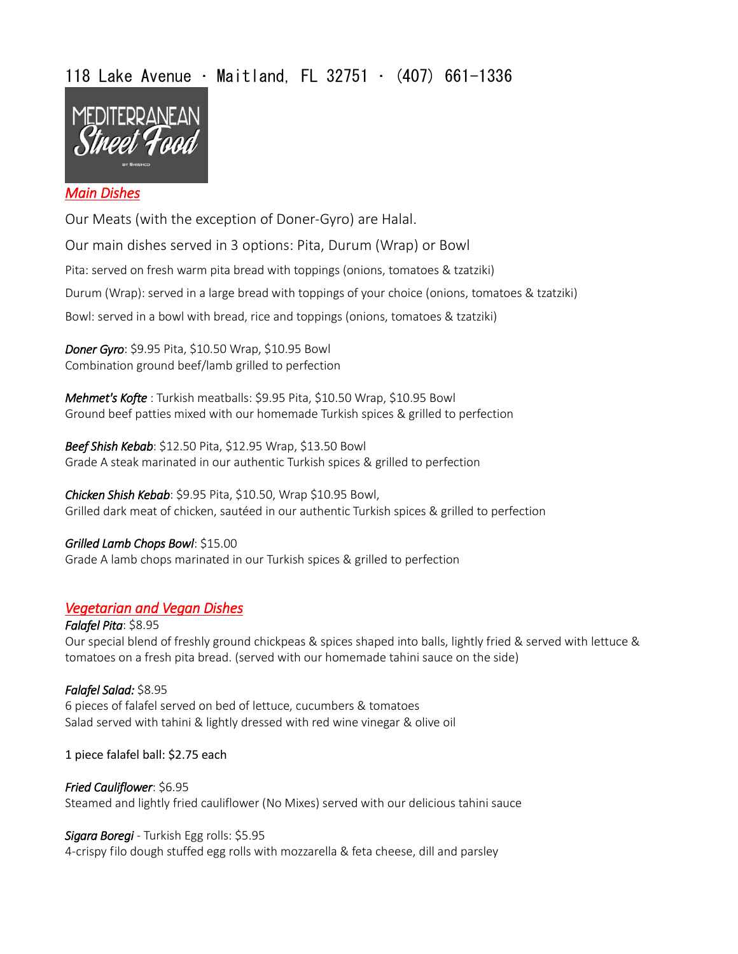# 118 Lake Avenue • Maitland, FL 32751 • (407) 661-1336



## *Main Dishes*

Our Meats (with the exception of Doner-Gyro) are Halal.

Our main dishes served in 3 options: Pita, Durum (Wrap) or Bowl Pita: served on fresh warm pita bread with toppings (onions, tomatoes & tzatziki) Durum (Wrap): served in a large bread with toppings of your choice (onions, tomatoes & tzatziki) Bowl: served in a bowl with bread, rice and toppings (onions, tomatoes & tzatziki)

*Doner Gyro*: \$9.95 Pita, \$10.50 Wrap, \$10.95 Bowl Combination ground beef/lamb grilled to perfection

*Mehmet's Kofte* : Turkish meatballs: \$9.95 Pita, \$10.50 Wrap, \$10.95 Bowl Ground beef patties mixed with our homemade Turkish spices & grilled to perfection

*Beef Shish Kebab*: \$12.50 Pita, \$12.95 Wrap, \$13.50 Bowl Grade A steak marinated in our authentic Turkish spices & grilled to perfection

*Chicken Shish Kebab*: \$9.95 Pita, \$10.50, Wrap \$10.95 Bowl, Grilled dark meat of chicken, sautéed in our authentic Turkish spices & grilled to perfection

*Grilled Lamb Chops Bowl*: \$15.00 Grade A lamb chops marinated in our Turkish spices & grilled to perfection

# *Vegetarian and Vegan Dishes*

*Falafel Pita*: \$8.95 Our special blend of freshly ground chickpeas & spices shaped into balls, lightly fried & served with lettuce & tomatoes on a fresh pita bread. (served with our homemade tahini sauce on the side)

#### *Falafel Salad:* \$8.95 6 pieces of falafel served on bed of lettuce, cucumbers & tomatoes Salad served with tahini & lightly dressed with red wine vinegar & olive oil

1 piece falafel ball: \$2.75 each

# *Fried Cauliflower*: \$6.95 Steamed and lightly fried cauliflower (No Mixes) served with our delicious tahini sauce

## *Sigara Boregi* - Turkish Egg rolls: \$5.95

4-crispy filo dough stuffed egg rolls with mozzarella & feta cheese, dill and parsley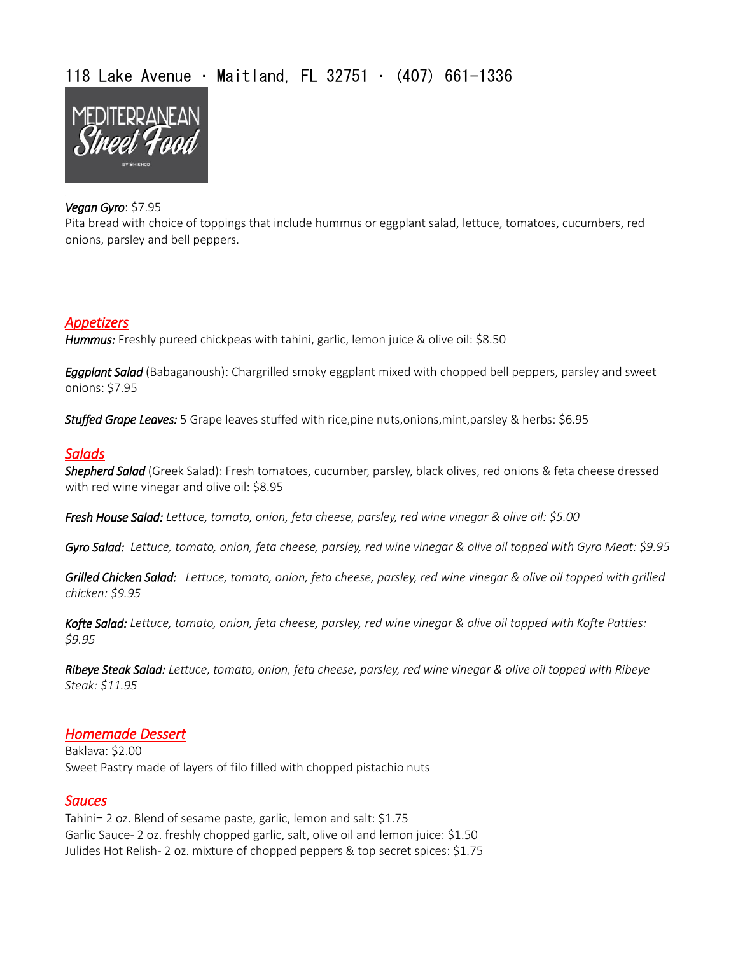# 118 Lake Avenue • Maitland, FL 32751 • (407) 661-1336



#### *Vegan Gyro*: \$7.95

Pita bread with choice of toppings that include hummus or eggplant salad, lettuce, tomatoes, cucumbers, red onions, parsley and bell peppers.

## *Appetizers*

*Hummus:* Freshly pureed chickpeas with tahini, garlic, lemon juice & olive oil: \$8.50

*Eggplant Salad* (Babaganoush): Chargrilled smoky eggplant mixed with chopped bell peppers, parsley and sweet onions: \$7.95

*Stuffed Grape Leaves:* 5 Grape leaves stuffed with rice,pine nuts,onions,mint,parsley & herbs: \$6.95

#### *Salads*

*Shepherd Salad* (Greek Salad): Fresh tomatoes, cucumber, parsley, black olives, red onions & feta cheese dressed with red wine vinegar and olive oil: \$8.95

*Fresh House Salad: Lettuce, tomato, onion, feta cheese, parsley, red wine vinegar & olive oil: \$5.00*

*Gyro Salad: Lettuce, tomato, onion, feta cheese, parsley, red wine vinegar & olive oil topped with Gyro Meat: \$9.95*

*Grilled Chicken Salad: Lettuce, tomato, onion, feta cheese, parsley, red wine vinegar & olive oil topped with grilled chicken: \$9.95*

*Kofte Salad: Lettuce, tomato, onion, feta cheese, parsley, red wine vinegar & olive oil topped with Kofte Patties: \$9.95*

*Ribeye Steak Salad: Lettuce, tomato, onion, feta cheese, parsley, red wine vinegar & olive oil topped with Ribeye Steak: \$11.95*

## *Homemade Dessert*

Baklava: \$2.00 Sweet Pastry made of layers of filo filled with chopped pistachio nuts

#### *Sauces*

Tahini- 2 oz. Blend of sesame paste, garlic, lemon and salt: \$1.75 Garlic Sauce- 2 oz. freshly chopped garlic, salt, olive oil and lemon juice: \$1.50 Julides Hot Relish- 2 oz. mixture of chopped peppers & top secret spices: \$1.75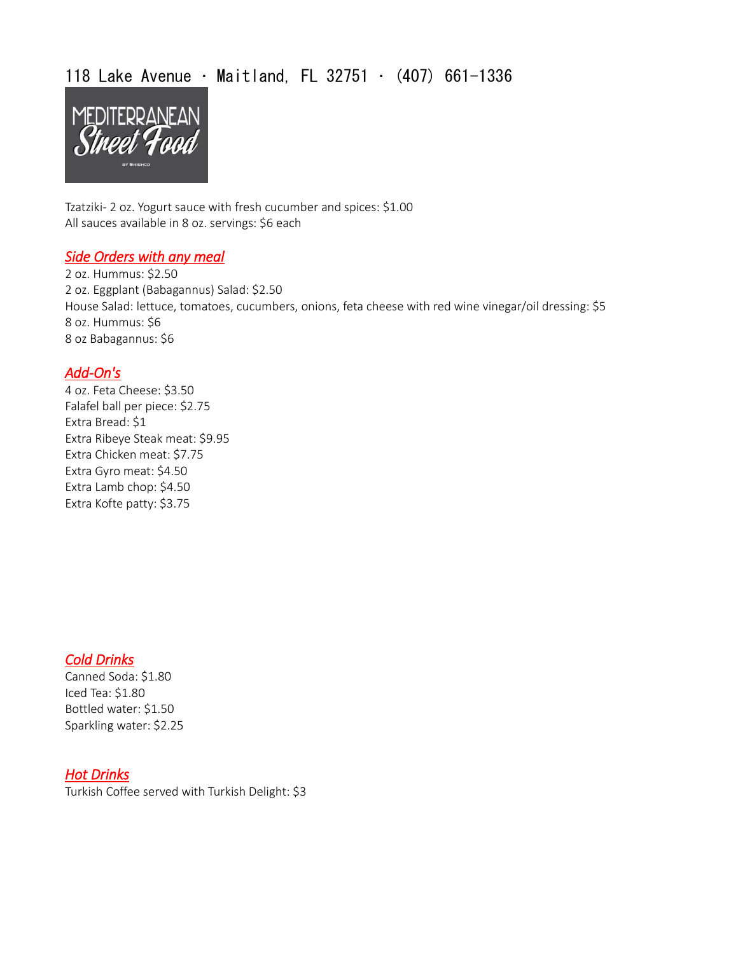# 118 Lake Avenue • Maitland, FL 32751 • (407) 661-1336



Tzatziki- 2 oz. Yogurt sauce with fresh cucumber and spices: \$1.00 All sauces available in 8 oz. servings: \$6 each

#### *Side Orders with any meal*

2 oz. Hummus: \$2.50 2 oz. Eggplant (Babagannus) Salad: \$2.50 House Salad: lettuce, tomatoes, cucumbers, onions, feta cheese with red wine vinegar/oil dressing: \$5 8 oz. Hummus: \$6 8 oz Babagannus: \$6

## *Add-On's*

4 oz. Feta Cheese: \$3.50 Falafel ball per piece: \$2.75 Extra Bread: \$1 Extra Ribeye Steak meat: \$9.95 Extra Chicken meat: \$7.75 Extra Gyro meat: \$4.50 Extra Lamb chop: \$4.50 Extra Kofte patty: \$3.75

## *Cold Drinks*

Canned Soda: \$1.80 Iced Tea: \$1.80 Bottled water: \$1.50 Sparkling water: \$2.25

# *Hot Drinks*

Turkish Coffee served with Turkish Delight: \$3